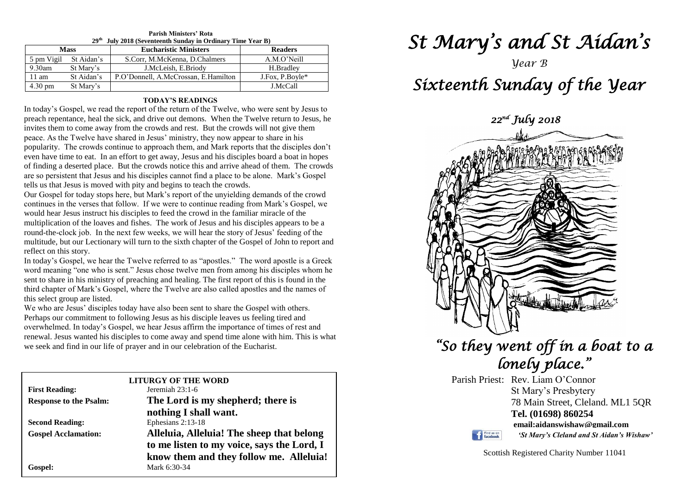| 29 <sup>th</sup><br>July 2018 (Seventeenth Sunday in Ordinary Time Year B) |            |                                      |                 |  |
|----------------------------------------------------------------------------|------------|--------------------------------------|-----------------|--|
| <b>Mass</b>                                                                |            | <b>Eucharistic Ministers</b>         | <b>Readers</b>  |  |
| 5 pm Vigil                                                                 | St Aidan's | S.Corr, M.McKenna, D.Chalmers        | A.M.O'Neill     |  |
| $9.30$ am                                                                  | St Mary's  | J.McLeish, E.Briody                  | H.Bradlev       |  |
| $11 \text{ am}$                                                            | St Aidan's | P.O'Donnell, A.McCrossan, E.Hamilton | J.Fox, P.Boyle* |  |
| $4.30 \text{ pm}$                                                          | St Mary's  |                                      | J.McCall        |  |

## **Parish Ministers' Rota**

#### **TODAY'S READINGS**

In today's Gospel, we read the report of the return of the Twelve, who were sent by Jesus to preach repentance, heal the sick, and drive out demons. When the Twelve return to Jesus, he invites them to come away from the crowds and rest. But the crowds will not give them peace. As the Twelve have shared in Jesus' ministry, they now appear to share in his popularity. The crowds continue to approach them, and Mark reports that the disciples don't even have time to eat. In an effort to get away, Jesus and his disciples board a boat in hopes of finding a deserted place. But the crowds notice this and arrive ahead of them. The crowds are so persistent that Jesus and his disciples cannot find a place to be alone. Mark's Gospel tells us that Jesus is moved with pity and begins to teach the crowds.

Our Gospel for today stops here, but Mark's report of the unyielding demands of the crowd continues in the verses that follow. If we were to continue reading from Mark's Gospel, we would hear Jesus instruct his disciples to feed the crowd in the familiar miracle of the multiplication of the loaves and fishes. The work of Jesus and his disciples appears to be a round-the-clock job. In the next few weeks, we will hear the story of Jesus' feeding of the multitude, but our Lectionary will turn to the sixth chapter of the Gospel of John to report and reflect on this story.

reflect on this story.<br>In today's Gospel, we hear the Twelve referred to as "apostles." The word apostle is a Greek<br>word meaning "one who is sent" Jesus chose twelve men from among his disciples whom he sent to snare in ms ministry of preaching and nearing. The first report of this is found in the<br>third chapter of Mark's Gospel, where the Twelve are also called apostles and the names of<br>this solect group are listed word meaning "one who is sent." Jesus chose twelve men from among his disciples whom he sent to share in his ministry of preaching and healing. The first report of this is found in the this select group are listed.

We who are Jesus' disciples today have also been sent to share the Gospel with others<br>Perhaps our commitment to following Jesus as his disciple leaves us feeling tired and renewal. Jesus wanted his disciples to come away and spend time alone with we seek and find in our life of prayer and in our celebration of the Eucharist. We who are Jesus' disciples today have also been sent to share the Gospel with others. overwhelmed. In today's Gospel, we hear Jesus affirm the importance of times of rest and renewal. Jesus wanted his disciples to come away and spend time alone with him. This is what

|                               | <b>LITURGY OF THE WORD</b>                 |
|-------------------------------|--------------------------------------------|
| <b>First Reading:</b>         | Jeremiah $23:1-6$                          |
| <b>Response to the Psalm:</b> | The Lord is my shepherd; there is          |
|                               | nothing I shall want.                      |
| <b>Second Reading:</b>        | Ephesians 2:13-18                          |
| <b>Gospel Acclamation:</b>    | Alleluia, Alleluia! The sheep that belong  |
|                               | to me listen to my voice, says the Lord, I |
|                               | know them and they follow me. Alleluia!    |
| Gospel:                       | Mark 6:30-34                               |

## *St Mary's and St Aidan's*

 *22nd July 2018* 

## *Year B Sixteenth Sunday of the Year*

*"So they went off in a boat to a* 

# *lonely place."*

Parish Priest: Rev. Liam O'Connor St Mary's Presbytery 78 Main Street, Cleland. ML1 5QR **Tel. (01698) 860254 email:aidanswishaw@gmail.com** Find us on *'St Mary's Cleland and St Aidan's Wishaw'*

Scottish Registered Charity Number 11041